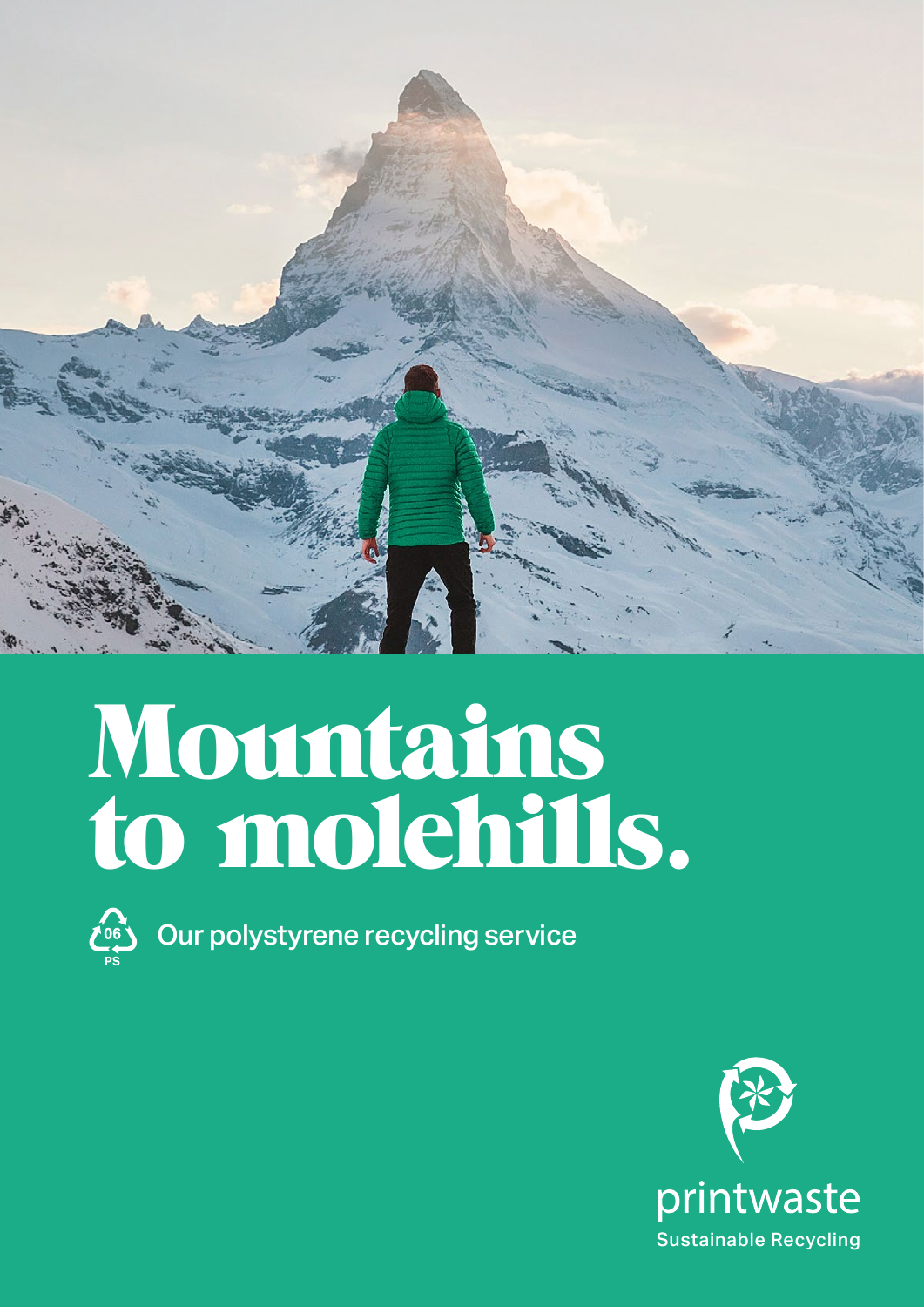

# Mountains to molehills.



Our polystyrene recycling service

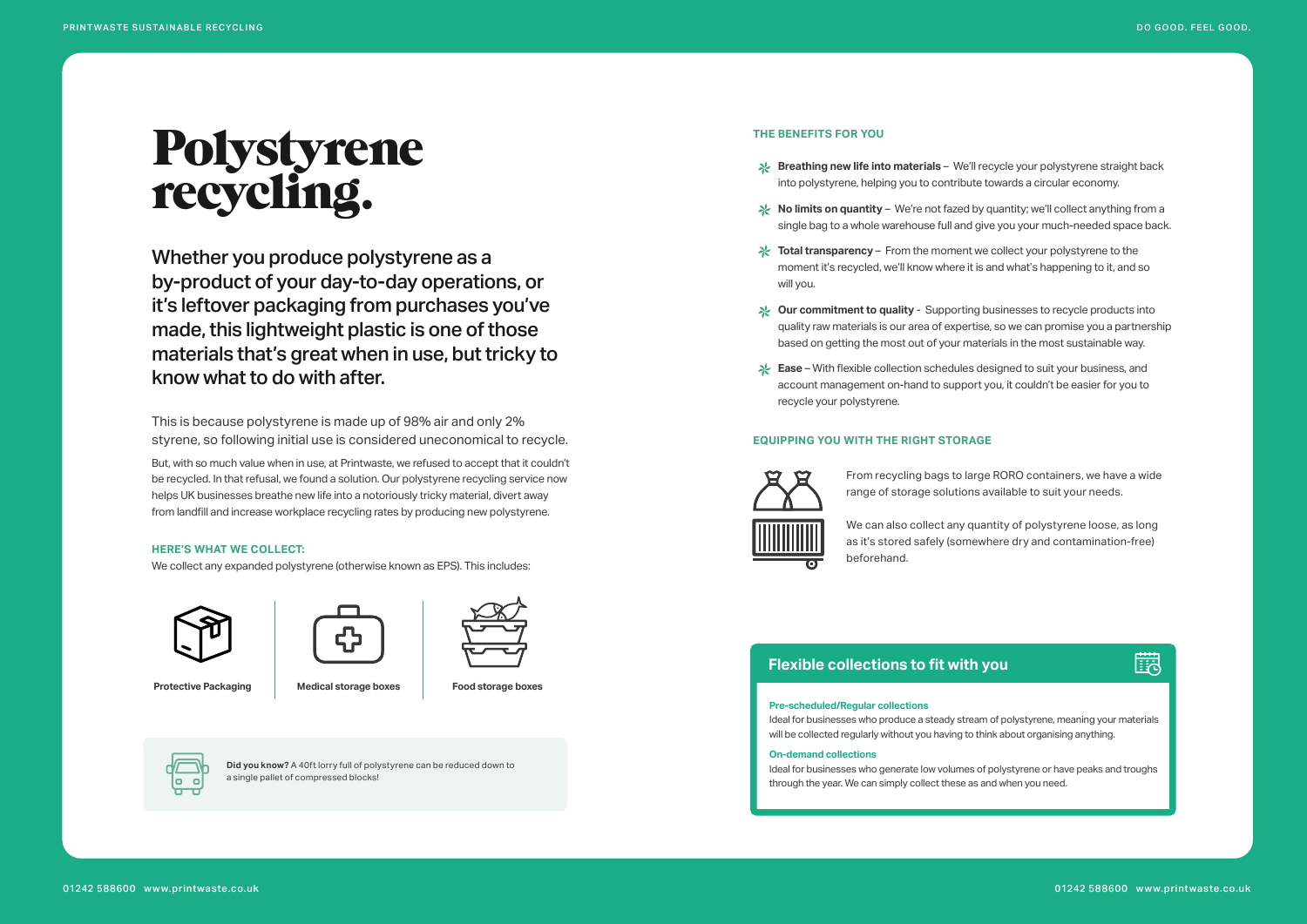#### **THE BENEFITS FOR YOU**

- **Breathing new life into materials**  We'll recycle your polystyrene straight back into polystyrene, helping you to contribute towards a circular economy.
- **X** No limits on quantity We're not fazed by quantity; we'll collect anything from a single bag to a whole warehouse full and give you your much-needed space back.
- $\frac{1}{2}$  **Total transparency** From the moment we collect your polystyrene to the moment it's recycled, we'll know where it is and what's happening to it, and so will you.
- **Our commitment to quality**  Supporting businesses to recycle products into quality raw materials is our area of expertise, so we can promise you a partnership based on getting the most out of your materials in the most sustainable way.
- **Ease**  With flexible collection schedules designed to suit your business, and account management on-hand to support you, it couldn't be easier for you to recycle your polystyrene.

#### **EQUIPPING YOU WITH THE RIGHT STORAGE**



range of storage solutions available to suit your needs.



- From recycling bags to large RORO containers, we have a wide
- We can also collect any quantity of polystyrene loose, as long as it's stored safely (somewhere dry and contamination-free)

## 鼸

- 
- 

beforehand.

## Polystyrene recycling.

Whether you produce polystyrene as a by-product of your day-to-day operations, or it's leftover packaging from purchases you've made, this lightweight plastic is one of those materials that's great when in use, but tricky to know what to do with after.

This is because polystyrene is made up of 98% air and only 2% styrene, so following initial use is considered uneconomical to recycle.

But, with so much value when in use, at Printwaste, we refused to accept that it couldn't be recycled. In that refusal, we found a solution. Our polystyrene recycling service now helps UK businesses breathe new life into a notoriously tricky material, divert away from landfill and increase workplace recycling rates by producing new polystyrene.

#### **HERE'S WHAT WE COLLECT:**

We collect any expanded polystyrene (otherwise known as EPS). This includes:



**Protective Packaging State and Medical storage boxes Food storage boxes** 







**Did you know?** A 40ft lorry full of polystyrene can be reduced down to a single pallet of compressed blocks!

#### **Pre-scheduled/Regular collections**

Ideal for businesses who produce a steady stream of polystyrene, meaning your materials will be collected regularly without you having to think about organising anything.

#### **On-demand collections**

Ideal for businesses who generate low volumes of polystyrene or have peaks and troughs through the year. We can simply collect these as and when you need.

### **Flexible collections to fit with you**